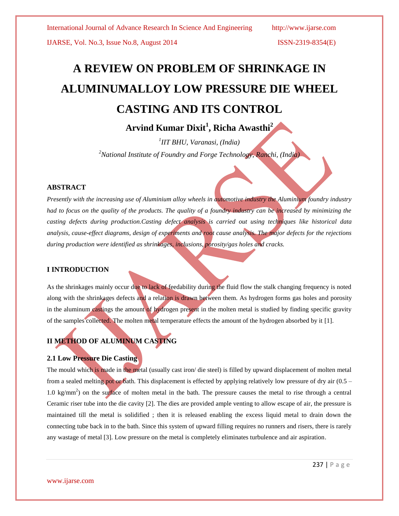# **A REVIEW ON PROBLEM OF SHRINKAGE IN ALUMINUMALLOY LOW PRESSURE DIE WHEEL CASTING AND ITS CONTROL**

# **Arvind Kumar Dixit<sup>1</sup> , Richa Awasthi<sup>2</sup>**

*1 IIT BHU, Varanasi, (India) <sup>2</sup>National Institute of Foundry and Forge Technology, Ranchi, (India)*

# **ABSTRACT**

*Presently with the increasing use of Aluminium alloy wheels in automotive industry the Aluminium foundry industry had to focus on the quality of the products. The quality of a foundry industry can be increased by minimizing the casting defects during production.Casting defect analysis is carried out using techniques like historical data analysis, cause-effect diagrams, design of experiments and root cause analysis. The major defects for the rejections during production were identified as shrinkages, inclusions, porosity/gas holes and cracks.*

# **I INTRODUCTION**

As the shrinkages mainly occur due to lack of feedability during the fluid flow the stalk changing frequency is noted along with the shrinkages defects and a relation is drawn between them. As hydrogen forms gas holes and porosity in the aluminum castings the amount of hydrogen present in the molten metal is studied by finding specific gravity of the samples collected. The molten metal temperature effects the amount of the hydrogen absorbed by it [1].

# **II METHOD OF ALUMINUM CASTING**

# **2.1 Low Pressure Die Casting**

The mould which is made in the metal (usually cast iron/ die steel) is filled by upward displacement of molten metal from a sealed melting pot or bath. This displacement is effected by applying relatively low pressure of dry air  $(0.5 1.0 \text{ kg/mm}^2$ ) on the surface of molten metal in the bath. The pressure causes the metal to rise through a central Ceramic riser tube into the die cavity [2]. The dies are provided ample venting to allow escape of air, the pressure is maintained till the metal is solidified ; then it is released enabling the excess liquid metal to drain down the connecting tube back in to the bath. Since this system of upward filling requires no runners and risers, there is rarely any wastage of metal [3]. Low pressure on the metal is completely eliminates turbulence and air aspiration.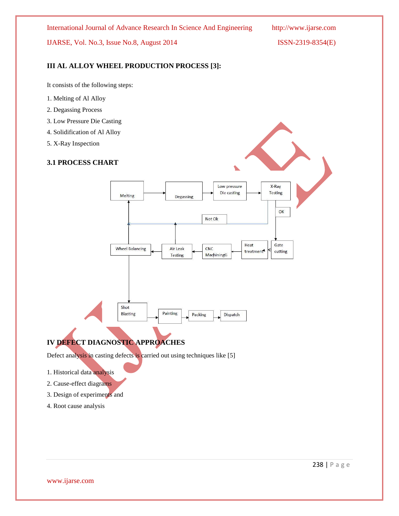International Journal of Advance Research In Science And Engineering http://www.ijarse.com

IJARSE, Vol. No.3, Issue No.8, August 2014 ISSN-2319-8354(E)

# **III AL ALLOY WHEEL PRODUCTION PROCESS [3]:**

It consists of the following steps:

- 1. Melting of Al Alloy
- 2. Degassing Process
- 3. Low Pressure Die Casting
- 4. Solidification of Al Alloy
- 5. X-Ray Inspection

# **3.1 PROCESS CHART**



# **IV DEFECT DIAGNOSTIC APPROACHES**

Defect analysis in casting defects is carried out using techniques like [5]

- 1. Historical data analysis
- 2. Cause-effect diagrams
- 3. Design of experiments and
- 4. Root cause analysis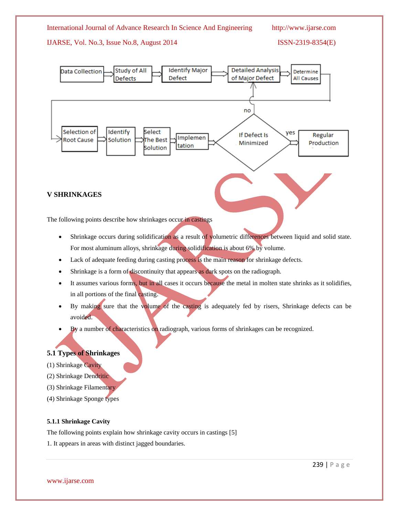

# **V SHRINKAGES**

The following points describe how shrinkages occur in castings

- Shrinkage occurs during solidification as a result of volumetric differences between liquid and solid state. For most aluminum alloys, shrinkage during solidification is about 6% by volume.
- Lack of adequate feeding during casting process is the main reason for shrinkage defects.
- Shrinkage is a form of discontinuity that appears as dark spots on the radiograph.
- It assumes various forms, but in all cases it occurs because the metal in molten state shrinks as it solidifies, in all portions of the final casting.
- By making sure that the volume of the casting is adequately fed by risers, Shrinkage defects can be avoided.
- By a number of characteristics on radiograph, various forms of shrinkages can be recognized.

# **5.1 Types of Shrinkages**

- (1) Shrinkage Cavity
- (2) Shrinkage Dendritic
- (3) Shrinkage Filamentary
- (4) Shrinkage Sponge types

# **5.1.1 Shrinkage Cavity**

The following points explain how shrinkage cavity occurs in castings [5]

1. It appears in areas with distinct jagged boundaries.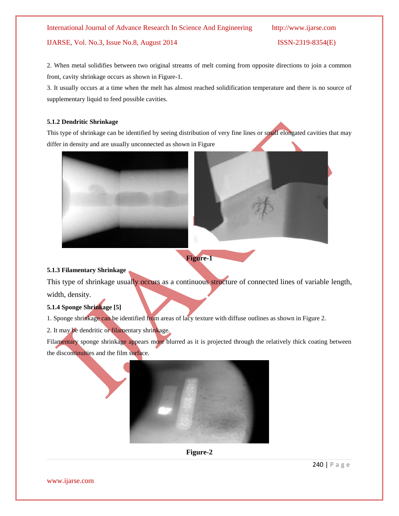2. When metal solidifies between two original streams of melt coming from opposite directions to join a common front, cavity shrinkage occurs as shown in Figure-1.

3. It usually occurs at a time when the melt has almost reached solidification temperature and there is no source of supplementary liquid to feed possible cavities.

# **5.1.2 Dendritic Shrinkage**

This type of shrinkage can be identified by seeing distribution of very fine lines or small elongated cavities that may differ in density and are usually unconnected as shown in Figure



**Figure-1**

# **5.1.3 Filamentary Shrinkage**

This type of shrinkage usually occurs as a continuous structure of connected lines of variable length, width, density.

# **5.1.4 Sponge Shrinkage [5]**

1. Sponge shrinkage can be identified from areas of lacy texture with diffuse outlines as shown in Figure 2.

2. It may be dendritic or filamentary shrinkage.

Filamentary sponge shrinkage appears more blurred as it is projected through the relatively thick coating between the discontinuities and the film surface.





240 | P a g e

www.ijarse.com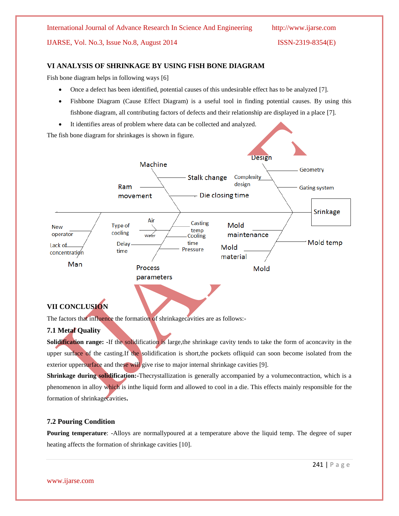# **VI ANALYSIS OF SHRINKAGE BY USING FISH BONE DIAGRAM**

Fish bone diagram helps in following ways [6]

- Once a defect has been identified, potential causes of this undesirable effect has to be analyzed [7].
- Fishbone Diagram (Cause Effect Diagram) is a useful tool in finding potential causes. By using this fishbone diagram, all contributing factors of defects and their relationship are displayed in a place [7].
- It identifies areas of problem where data can be collected and analyzed.

The fish bone diagram for shrinkages is shown in figure.



# **VII CONCLUSION**

The factors that influence the formation of shrinkagecavities are as follows:-

# **7.1 Metal Quality**

**Solidification range: -**If the solidification is large,the shrinkage cavity tends to take the form of aconcavity in the upper surface of the casting.If the solidification is short, the pockets of liquid can soon become isolated from the exterior uppersurface and these will give rise to major internal shrinkage cavities [9].

**Shrinkage during solidification:-**Thecrystallization is generally accompanied by a volumecontraction, which is a phenomenon in alloy which is inthe liquid form and allowed to cool in a die. This effects mainly responsible for the formation of shrinkagecavities**.**

# **7.2 Pouring Condition**

**Pouring temperature**: -Alloys are normallypoured at a temperature above the liquid temp. The degree of super heating affects the formation of shrinkage cavities [10].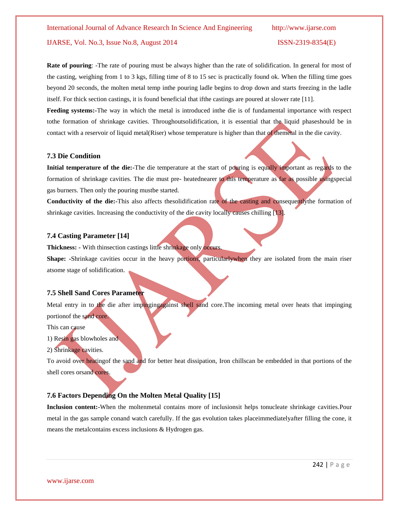**Rate of pouring:** -The rate of pouring must be always higher than the rate of solidification. In general for most of the casting, weighing from 1 to 3 kgs, filling time of 8 to 15 sec is practically found ok. When the filling time goes beyond 20 seconds, the molten metal temp inthe pouring ladle begins to drop down and starts freezing in the ladle itself. For thick section castings, it is found beneficial that ifthe castings are poured at slower rate [11].

**Feeding systems:-**The way in which the metal is introduced inthe die is of fundamental importance with respect tothe formation of shrinkage cavities. Throughoutsolidification, it is essential that the liquid phaseshould be in contact with a reservoir of liquid metal(Riser) whose temperature is higher than that of themetal in the die cavity.

### **7.3 Die Condition**

**Initial temperature of the die:-**The die temperature at the start of pouring is equally important as regards to the formation of shrinkage cavities. The die must pre- heatednearer to this temperature as far as possible usingspecial gas burners. Then only the pouring mustbe started.

**Conductivity of the die:-**This also affects thesolidification rate of the casting and consequentlythe formation of shrinkage cavities. Increasing the conductivity of the die cavity locally causes chilling  $[13]$ .

# **7.4 Casting Parameter [14]**

**Thickness: -** With thinsection castings little shrinkage only occurs.

Shape: -Shrinkage cavities occur in the heavy portions, particularlywhen they are isolated from the main riser atsome stage of solidification.

### **7.5 Shell Sand Cores Parameter**

Metal entry in to the die after impingingagainst shell sand core.The incoming metal over heats that impinging portionof the sand core.

#### This can cause

1) Resin gas blowholes and

#### 2) Shrinkage cavities.

To avoid over heatingof the sand and for better heat dissipation, Iron chillscan be embedded in that portions of the shell cores orsand cores.

# **7.6 Factors Depending On the Molten Metal Quality [15]**

**Inclusion content:-**When the moltenmetal contains more of inclusionsit helps tonucleate shrinkage cavities.Pour metal in the gas sample conand watch carefully. If the gas evolution takes placeimmediatelyafter filling the cone, it means the metalcontains excess inclusions & Hydrogen gas.